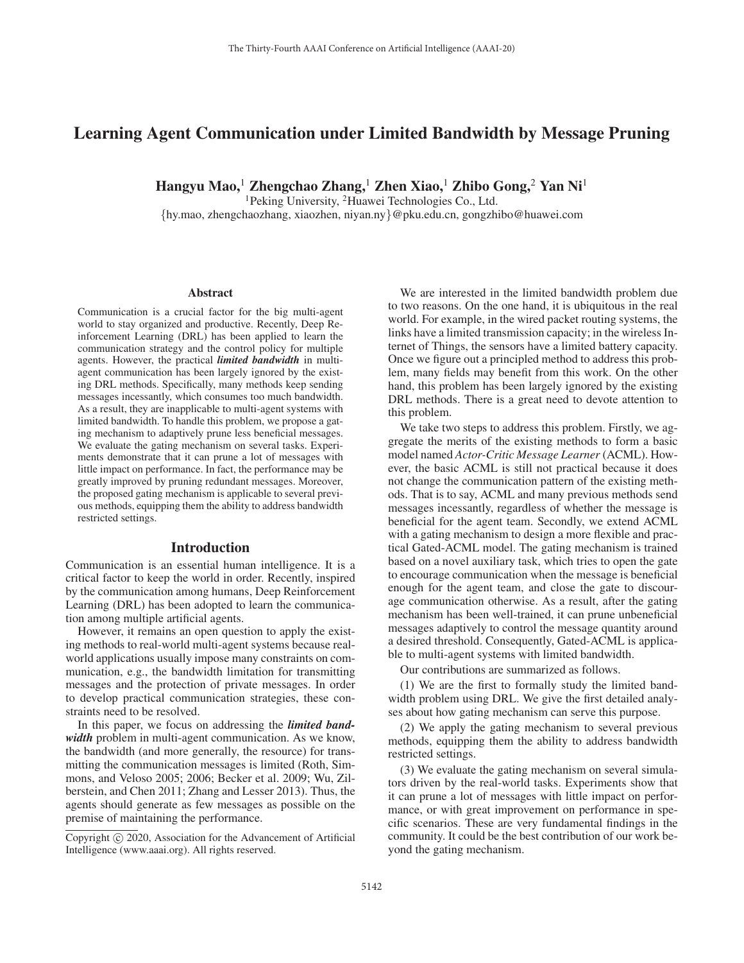# Learning Agent Communication under Limited Bandwidth by Message Pruning

Hangyu Mao,<sup>1</sup> Zhengchao Zhang,<sup>1</sup> Zhen Xiao,<sup>1</sup> Zhibo Gong,<sup>2</sup> Yan Ni<sup>1</sup>

<sup>1</sup>Peking University, <sup>2</sup>Huawei Technologies Co., Ltd.

{hy.mao, zhengchaozhang, xiaozhen, niyan.ny}@pku.edu.cn, gongzhibo@huawei.com

#### Abstract

Communication is a crucial factor for the big multi-agent world to stay organized and productive. Recently, Deep Reinforcement Learning (DRL) has been applied to learn the communication strategy and the control policy for multiple agents. However, the practical *limited bandwidth* in multiagent communication has been largely ignored by the existing DRL methods. Specifically, many methods keep sending messages incessantly, which consumes too much bandwidth. As a result, they are inapplicable to multi-agent systems with limited bandwidth. To handle this problem, we propose a gating mechanism to adaptively prune less beneficial messages. We evaluate the gating mechanism on several tasks. Experiments demonstrate that it can prune a lot of messages with little impact on performance. In fact, the performance may be greatly improved by pruning redundant messages. Moreover, the proposed gating mechanism is applicable to several previous methods, equipping them the ability to address bandwidth restricted settings.

## Introduction

Communication is an essential human intelligence. It is a critical factor to keep the world in order. Recently, inspired by the communication among humans, Deep Reinforcement Learning (DRL) has been adopted to learn the communication among multiple artificial agents.

However, it remains an open question to apply the existing methods to real-world multi-agent systems because realworld applications usually impose many constraints on communication, e.g., the bandwidth limitation for transmitting messages and the protection of private messages. In order to develop practical communication strategies, these constraints need to be resolved.

In this paper, we focus on addressing the *limited bandwidth* problem in multi-agent communication. As we know, the bandwidth (and more generally, the resource) for transmitting the communication messages is limited (Roth, Simmons, and Veloso 2005; 2006; Becker et al. 2009; Wu, Zilberstein, and Chen 2011; Zhang and Lesser 2013). Thus, the agents should generate as few messages as possible on the premise of maintaining the performance.

We are interested in the limited bandwidth problem due to two reasons. On the one hand, it is ubiquitous in the real world. For example, in the wired packet routing systems, the links have a limited transmission capacity; in the wireless Internet of Things, the sensors have a limited battery capacity. Once we figure out a principled method to address this problem, many fields may benefit from this work. On the other hand, this problem has been largely ignored by the existing DRL methods. There is a great need to devote attention to this problem.

We take two steps to address this problem. Firstly, we aggregate the merits of the existing methods to form a basic model named *Actor-Critic Message Learner* (ACML). However, the basic ACML is still not practical because it does not change the communication pattern of the existing methods. That is to say, ACML and many previous methods send messages incessantly, regardless of whether the message is beneficial for the agent team. Secondly, we extend ACML with a gating mechanism to design a more flexible and practical Gated-ACML model. The gating mechanism is trained based on a novel auxiliary task, which tries to open the gate to encourage communication when the message is beneficial enough for the agent team, and close the gate to discourage communication otherwise. As a result, after the gating mechanism has been well-trained, it can prune unbeneficial messages adaptively to control the message quantity around a desired threshold. Consequently, Gated-ACML is applicable to multi-agent systems with limited bandwidth.

Our contributions are summarized as follows.

(1) We are the first to formally study the limited bandwidth problem using DRL. We give the first detailed analyses about how gating mechanism can serve this purpose.

(2) We apply the gating mechanism to several previous methods, equipping them the ability to address bandwidth restricted settings.

(3) We evaluate the gating mechanism on several simulators driven by the real-world tasks. Experiments show that it can prune a lot of messages with little impact on performance, or with great improvement on performance in specific scenarios. These are very fundamental findings in the community. It could be the best contribution of our work beyond the gating mechanism.

Copyright  $\odot$  2020, Association for the Advancement of Artificial Intelligence (www.aaai.org). All rights reserved.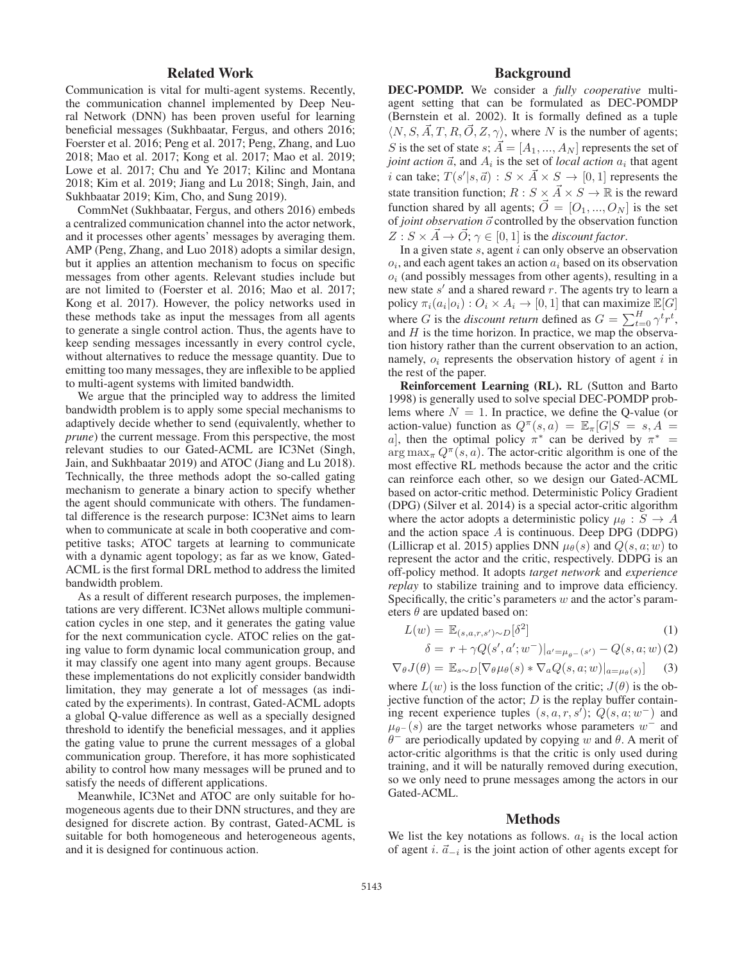## Related Work

Communication is vital for multi-agent systems. Recently, the communication channel implemented by Deep Neural Network (DNN) has been proven useful for learning beneficial messages (Sukhbaatar, Fergus, and others 2016; Foerster et al. 2016; Peng et al. 2017; Peng, Zhang, and Luo 2018; Mao et al. 2017; Kong et al. 2017; Mao et al. 2019; Lowe et al. 2017; Chu and Ye 2017; Kilinc and Montana 2018; Kim et al. 2019; Jiang and Lu 2018; Singh, Jain, and Sukhbaatar 2019; Kim, Cho, and Sung 2019).

CommNet (Sukhbaatar, Fergus, and others 2016) embeds a centralized communication channel into the actor network, and it processes other agents' messages by averaging them. AMP (Peng, Zhang, and Luo 2018) adopts a similar design, but it applies an attention mechanism to focus on specific messages from other agents. Relevant studies include but are not limited to (Foerster et al. 2016; Mao et al. 2017; Kong et al. 2017). However, the policy networks used in these methods take as input the messages from all agents to generate a single control action. Thus, the agents have to keep sending messages incessantly in every control cycle, without alternatives to reduce the message quantity. Due to emitting too many messages, they are inflexible to be applied to multi-agent systems with limited bandwidth.

We argue that the principled way to address the limited bandwidth problem is to apply some special mechanisms to adaptively decide whether to send (equivalently, whether to *prune*) the current message. From this perspective, the most relevant studies to our Gated-ACML are IC3Net (Singh, Jain, and Sukhbaatar 2019) and ATOC (Jiang and Lu 2018). Technically, the three methods adopt the so-called gating mechanism to generate a binary action to specify whether the agent should communicate with others. The fundamental difference is the research purpose: IC3Net aims to learn when to communicate at scale in both cooperative and competitive tasks; ATOC targets at learning to communicate with a dynamic agent topology; as far as we know, Gated-ACML is the first formal DRL method to address the limited bandwidth problem.

As a result of different research purposes, the implementations are very different. IC3Net allows multiple communication cycles in one step, and it generates the gating value for the next communication cycle. ATOC relies on the gating value to form dynamic local communication group, and it may classify one agent into many agent groups. Because these implementations do not explicitly consider bandwidth limitation, they may generate a lot of messages (as indicated by the experiments). In contrast, Gated-ACML adopts a global Q-value difference as well as a specially designed threshold to identify the beneficial messages, and it applies the gating value to prune the current messages of a global communication group. Therefore, it has more sophisticated ability to control how many messages will be pruned and to satisfy the needs of different applications.

Meanwhile, IC3Net and ATOC are only suitable for homogeneous agents due to their DNN structures, and they are designed for discrete action. By contrast, Gated-ACML is suitable for both homogeneous and heterogeneous agents, and it is designed for continuous action.

## Background

DEC-POMDP. We consider a *fully cooperative* multiagent setting that can be formulated as DEC-POMDP (Bernstein et al. 2002). It is formally defined as a tuple  $\langle N, S, A, T, R, O, Z, \gamma \rangle$ , where N is the number of agents;<br>S is the set of state  $\alpha: \vec{A} = [A, A, A]$  represents the set of Solved, S. A, T, T, R, O, Z,  $\gamma_1$ , where TV is the number of agents,<br>S is the set of state s;  $\vec{A} = [A_1, ..., A_N]$  represents the set of ioint action  $\vec{a}$  and  $A_i$  is the set of local action a, that agent *joint action*  $\vec{a}$ , and  $A_i$  is the set of *local action*  $a_i$  that agent<br>*i* can take:  $T(a'|a, \vec{a}) + S \times \vec{A} \times S \rightarrow [0, 1]$  represents the i can take;  $T(s'|s, \vec{a}) : S \times A \times S \rightarrow [0, 1]$  represents the state transition function:  $P_s : S \times \vec{A} \times S \rightarrow \mathbb{R}$  is the represent state transition function;  $R : S \times \vec{A} \times S \rightarrow \mathbb{R}$  is the reward<br>function shared by all agents:  $\vec{O} = [O_1, O_2]$  is the set function shared by all agents;  $O = [O_1, ..., O_N]$  is the set<br>of *joint observation*  $\vec{o}$  controlled by the observation function of *joint observation*  $\vec{o}$  controlled by the observation function  $\vec{z} \cdot \vec{S} \times \vec{A} \rightarrow \vec{O}$ ;  $\alpha \in [0, 1]$  is the *discount factor*  $Z : S \times A \rightarrow O; \gamma \in [0, 1]$  is the *discount factor*.<br>In a given state s, agent *i* can only observe an o

In a given state  $s$ , agent  $i$  can only observe an observation  $o_i$ , and each agent takes an action  $a_i$  based on its observation  $o_i$  (and possibly messages from other agents), resulting in a new state s' and a shared reward r. The agents try to learn a<br>policy  $\pi_i(a_i|a_i)$ :  $Q_i \times A_i \rightarrow [0, 1]$  that can maximize  $\mathbb{E}[G]$ policy  $\pi_i(a_i|o_i)$ :  $O_i \times A_i \rightarrow [0, 1]$  that can maximize  $\mathbb{E}[G]$ where G is the *discount return* defined as  $G = \sum_{t=0}^{H} \gamma^t r^t$ , and H is the time horizon. In practice, we man the observaand  $H$  is the time horizon. In practice, we map the observation history rather than the current observation to an action, namely,  $o_i$  represents the observation history of agent i in the rest of the paper.

Reinforcement Learning (RL). RL (Sutton and Barto 1998) is generally used to solve special DEC-POMDP problems where  $N = 1$ . In practice, we define the Q-value (or action-value) function as  $Q^{\pi}(s, a) = \mathbb{E}_{\pi} [G|S = s, A =$ a], then the optimal policy  $\pi^*$  can be derived by  $\pi^*$  =  $\arg \max_{\pi} Q^{\pi}(s, a)$ . The actor-critic algorithm is one of the most effective RL methods because the actor and the critic can reinforce each other, so we design our Gated-ACML based on actor-critic method. Deterministic Policy Gradient (DPG) (Silver et al. 2014) is a special actor-critic algorithm where the actor adopts a deterministic policy  $\mu_{\theta}: S \to A$ and the action space  $A$  is continuous. Deep DPG (DDPG) (Lillicrap et al. 2015) applies DNN  $\mu_{\theta}(s)$  and  $Q(s, a; w)$  to represent the actor and the critic, respectively. DDPG is an off-policy method. It adopts *target network* and *experience replay* to stabilize training and to improve data efficiency. Specifically, the critic's parameters  $w$  and the actor's parameters  $\theta$  are updated based on:

$$
L(w) = \mathbb{E}_{(s,a,r,s') \sim D}[\delta^2]
$$
 (1)

$$
\delta = r + \gamma Q(s', a'; w^-)|_{a' = \mu_{\theta} - (s')} - Q(s, a; w)(2)
$$

$$
\nabla_{\theta} J(\theta) = \mathbb{E}_{s \sim D} [\nabla_{\theta} \mu_{\theta}(s) * \nabla_{a} Q(s, a; w)|_{a = \mu_{\theta}(s)}] \tag{3}
$$

where  $L(w)$  is the loss function of the critic;  $J(\theta)$  is the ob-<br>iective function of the actor: D is the replay buffer containjective function of the actor;  $D$  is the replay buffer containing recent experience tuples  $(s, a, r, s')$ ;  $Q(s, a; w<sup>-</sup>)$  and  $u_{\alpha-}(s)$  are the target networks whose parameters  $w<sup>-</sup>$  and  $\mu_{\theta^-}(s)$  are the target networks whose parameters w<sup>−</sup> and  $\theta^-$  are periodically updated by copying w and  $\theta$ . A merit of actor-critic algorithms is that the critic is only used during training, and it will be naturally removed during execution, so we only need to prune messages among the actors in our Gated-ACML.

#### Methods

We list the key notations as follows.  $a_i$  is the local action of agent *i*.  $\vec{a}_{-i}$  is the joint action of other agents except for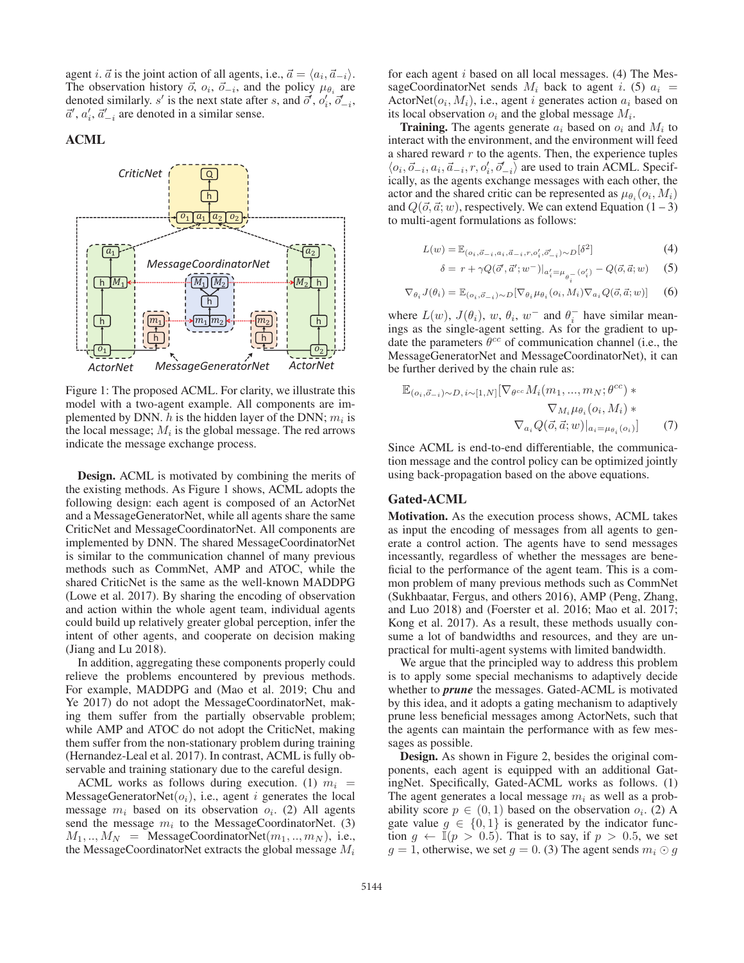agent *i*.  $\vec{a}$  is the joint action of all agents, i.e.,  $\vec{a} = \langle a_i, \vec{a}_{-i} \rangle$ .<br>The observation history  $\vec{a}$  or  $\vec{a}$  and the policy  $\mu_a$  are agent *i*. *a* is the joint action of all agents, i.e.,  $a = \langle a_i, a_{-i} \rangle$ .<br>The observation history  $\vec{o}$ ,  $o_i$ ,  $\vec{o}_{-i}$ , and the policy  $\mu_{\theta_i}$  are<br>denoted similarly *s'* is the next state after *s* and  $\vec{o}'$ ,  $\vec{o}'$ denoted similarly. *s'* is the next state after *s*, and  $\vec{o}'$ ,  $o'_i$ ,  $\vec{o}'_{-i}$ ,  $\vec{o}'_i$ ,  $\vec{o}'_i$ ,  $\vec{o}''_i$ , are denoted in a similar sense  $\vec{a}', a'_i, \vec{a}'_{-i}$  are denoted in a similar sense.

### ACML



Figure 1: The proposed ACML. For clarity, we illustrate this model with a two-agent example. All components are implemented by DNN. h is the hidden layer of the DNN;  $m_i$  is the local message;  $M_i$  is the global message. The red arrows indicate the message exchange process.

Design. ACML is motivated by combining the merits of the existing methods. As Figure 1 shows, ACML adopts the following design: each agent is composed of an ActorNet and a MessageGeneratorNet, while all agents share the same CriticNet and MessageCoordinatorNet. All components are implemented by DNN. The shared MessageCoordinatorNet is similar to the communication channel of many previous methods such as CommNet, AMP and ATOC, while the shared CriticNet is the same as the well-known MADDPG (Lowe et al. 2017). By sharing the encoding of observation and action within the whole agent team, individual agents could build up relatively greater global perception, infer the intent of other agents, and cooperate on decision making (Jiang and Lu 2018).

In addition, aggregating these components properly could relieve the problems encountered by previous methods. For example, MADDPG and (Mao et al. 2019; Chu and Ye 2017) do not adopt the MessageCoordinatorNet, making them suffer from the partially observable problem; while AMP and ATOC do not adopt the CriticNet, making them suffer from the non-stationary problem during training (Hernandez-Leal et al. 2017). In contrast, ACML is fully observable and training stationary due to the careful design.

ACML works as follows during execution. (1)  $m_i$  = MessageGeneratorNet $(o_i)$ , i.e., agent i generates the local message  $m_i$  based on its observation  $o_i$ . (2) All agents send the message  $m_i$  to the MessageCoordinatorNet. (3)  $M_1, ..., M_N$  = MessageCoordinatorNet $(m_1, ..., m_N)$ , i.e., the MessageCoordinatorNet extracts the global message  $M_i$ 

for each agent  $i$  based on all local messages. (4) The MessageCoordinatorNet sends  $M_i$  back to agent i. (5)  $a_i$  = ActorNet $(o_i, M_i)$ , i.e., agent i generates action  $a_i$  based on its local observation  $o_i$  and the global message  $M_i$ .

**Training.** The agents generate  $a_i$  based on  $o_i$  and  $M_i$  to interact with the environment, and the environment will feed a shared reward  $r$  to the agents. Then, the experience tuples  $\langle o_i, \vec{o}_{-i}, a_i, \vec{a}_{-i}, r, o'_i, \vec{o}'_{-i} \rangle$  are used to train ACML. Specifically as the agents exchange messages with each other the  $\langle o_i, o_{-i}, a_i, a_{-i}, r, o_i, o_{-i} \rangle$  are used to train ACML. Specifically, as the agents exchange messages with each other, the actor and the shared critic can be represented as  $\mu_{\theta_i}(o_i, M_i)$ and  $Q(\vec{o}, \vec{a}; w)$ , respectively. We can extend Equation  $(1-3)$  to multi-agent formulations as follows: to multi-agent formulations as follows:

$$
L(w) = \mathbb{E}_{(o_i, \vec{o}_{-i}, a_i, \vec{a}_{-i}, r, o'_i, \vec{o}'_{-i}) \sim D}[\delta^2]
$$
\n(4)

$$
\delta = r + \gamma Q(\vec{\sigma}', \vec{a}'; w^-)|_{a'_i = \mu_{\theta_i^-}(o'_i)} - Q(\vec{\sigma}, \vec{a}; w) \quad (5)
$$

i

$$
\nabla_{\theta_i} J(\theta_i) = \mathbb{E}_{(o_i, \vec{o}_{-i}) \sim D} [\nabla_{\theta_i} \mu_{\theta_i}(o_i, M_i) \nabla_{a_i} Q(\vec{o}, \vec{a}; w)] \tag{6}
$$

where  $L(w)$ ,  $J(\theta_i)$ ,  $w$ ,  $\theta_i$ ,  $w^-$  and  $\theta_i^-$  have similar mean-<br>ings as the single-agent setting. As for the gradient to unings as the single-agent setting. As for the gradient to update the parameters  $\theta^{cc}$  of communication channel (i.e., the MessageGeneratorNet and MessageCoordinatorNet), it can be further derived by the chain rule as:

$$
\mathbb{E}_{(o_i, \vec{o}_{-i}) \sim D, i \sim [1, N]} [\nabla_{\theta^{cc}} M_i(m_1, ..., m_N; \theta^{cc}) * \nabla_{M_i} \mu_{\theta_i}(o_i, M_i) * \nabla_{a_i} Q(\vec{o}, \vec{a}; w)|_{a_i = \mu_{\theta_i}(o_i)}]
$$
(7)

Since ACML is end-to-end differentiable, the communication message and the control policy can be optimized jointly using back-propagation based on the above equations.

## Gated-ACML

Motivation. As the execution process shows, ACML takes as input the encoding of messages from all agents to generate a control action. The agents have to send messages incessantly, regardless of whether the messages are beneficial to the performance of the agent team. This is a common problem of many previous methods such as CommNet (Sukhbaatar, Fergus, and others 2016), AMP (Peng, Zhang, and Luo 2018) and (Foerster et al. 2016; Mao et al. 2017; Kong et al. 2017). As a result, these methods usually consume a lot of bandwidths and resources, and they are unpractical for multi-agent systems with limited bandwidth.

We argue that the principled way to address this problem is to apply some special mechanisms to adaptively decide whether to *prune* the messages. Gated-ACML is motivated by this idea, and it adopts a gating mechanism to adaptively prune less beneficial messages among ActorNets, such that the agents can maintain the performance with as few messages as possible.

Design. As shown in Figure 2, besides the original components, each agent is equipped with an additional GatingNet. Specifically, Gated-ACML works as follows. (1) The agent generates a local message  $m_i$  as well as a probability score  $p \in (0,1)$  based on the observation  $o_i$ . (2) A gate value  $g \in \{0, 1\}$  is generated by the indicator function  $g \leftarrow \mathbb{I}(p > 0.5)$ . That is to say, if  $p > 0.5$ , we set  $g = 1$ , otherwise, we set  $g = 0$ . (3) The agent sends  $m_i \odot g$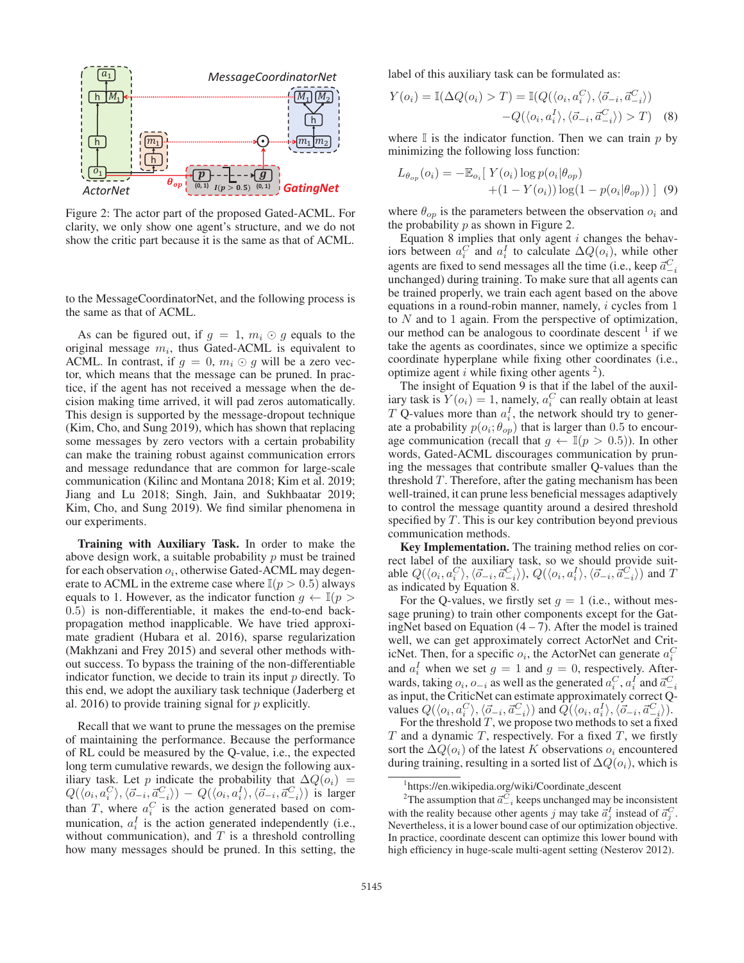

Figure 2: The actor part of the proposed Gated-ACML. For clarity, we only show one agent's structure, and we do not show the critic part because it is the same as that of ACML.

to the MessageCoordinatorNet, and the following process is the same as that of ACML.

As can be figured out, if  $g = 1$ ,  $m_i \odot g$  equals to the original message  $m_i$ , thus Gated-ACML is equivalent to ACML. In contrast, if  $g = 0$ ,  $m_i \odot g$  will be a zero vector, which means that the message can be pruned. In practice, if the agent has not received a message when the decision making time arrived, it will pad zeros automatically. This design is supported by the message-dropout technique (Kim, Cho, and Sung 2019), which has shown that replacing some messages by zero vectors with a certain probability can make the training robust against communication errors and message redundance that are common for large-scale communication (Kilinc and Montana 2018; Kim et al. 2019; Jiang and Lu 2018; Singh, Jain, and Sukhbaatar 2019; Kim, Cho, and Sung 2019). We find similar phenomena in our experiments.

Training with Auxiliary Task. In order to make the above design work, a suitable probability  $p$  must be trained for each observation  $o_i$ , otherwise Gated-ACML may degenerate to ACML in the extreme case where  $\mathbb{I}(p > 0.5)$  always equals to 1. However, as the indicator function  $g \leftarrow \mathbb{I}(p >$ 0.5) is non-differentiable, it makes the end-to-end backpropagation method inapplicable. We have tried approximate gradient (Hubara et al. 2016), sparse regularization (Makhzani and Frey 2015) and several other methods without success. To bypass the training of the non-differentiable indicator function, we decide to train its input  $p$  directly. To this end, we adopt the auxiliary task technique (Jaderberg et al. 2016) to provide training signal for  $p$  explicitly.

Recall that we want to prune the messages on the premise of maintaining the performance. Because the performance of RL could be measured by the Q-value, i.e., the expected long term cumulative rewards, we design the following auxiliary task. Let p indicate the probability that  $\Delta Q(o_i)$  =  $Q(\langle o_i, a_i^C \rangle, \langle \vec{o}_{-i}, \vec{a}_{-i}^C \rangle) - Q(\langle o_i, a_i^I \rangle, \langle \vec{o}_{-i}, \vec{a}_{-i}^C \rangle)$  is larger than T, where  $a_i^C$  is the action generated based on com-<br>munication  $a^I$  is the action generated independently (i.e. munication,  $a_i^T$  is the action generated independently (i.e., without communication) and T is a threshold controlling without communication), and  $T$  is a threshold controlling how many messages should be pruned. In this setting, the label of this auxiliary task can be formulated as:

$$
Y(o_i) = \mathbb{I}(\Delta Q(o_i) > T) = \mathbb{I}(Q(\langle o_i, a_i^C \rangle, \langle \vec{o}_{-i}, \vec{a}_{-i}^C \rangle) -Q(\langle o_i, a_i^I \rangle, \langle \vec{o}_{-i}, \vec{a}_{-i}^C \rangle) > T)
$$
(8)

where  $\mathbb I$  is the indicator function. Then we can train p by minimizing the following loss function:

$$
L_{\theta_{op}}(o_i) = -\mathbb{E}_{o_i} \left[ Y(o_i) \log p(o_i | \theta_{op}) + (1 - Y(o_i)) \log(1 - p(o_i | \theta_{op})) \right]
$$
(9)

where  $\theta_{op}$  is the parameters between the observation  $o_i$  and the probability  $p$  as shown in Figure 2.

Equation 8 implies that only agent  $i$  changes the behaviors between  $a_i^C$  and  $a_i^I$  to calculate  $\Delta Q(o_i)$ , while other<br>agents are fixed to send messages all the time (i.e., keep  $\vec{a}^C$ agents are fixed to send messages all the time (i.e., keep  $\vec{a}^C$ <br>unchanged) during training. To make sure that all agents ca agents are fixed to send messages an the time (i.e., keep  $a_{-i}$ ) unchanged) during training. To make sure that all agents can be trained properly, we train each agent based on the above equations in a round-robin manner, namely, i cycles from 1 to  $N$  and to 1 again. From the perspective of optimization, our method can be analogous to coordinate descent  $<sup>1</sup>$  if we</sup> take the agents as coordinates, since we optimize a specific coordinate hyperplane while fixing other coordinates (i.e., optimize agent i while fixing other agents  $2$ ).

The insight of Equation 9 is that if the label of the auxiliary task is  $Y(o_i) = 1$ , namely,  $a_i^C$  can really obtain at least  $T$  O-values more than  $a_i^L$  the network should try to gener-T Q-values more than  $a_i^I$ , the network should try to gener-<br>ate a probability  $p(o \cdot \theta)$  that is larger than 0.5 to encourate a probability  $p(o_i; \theta_{op})$  that is larger than 0.5 to encourage communication (recall that  $g \leftarrow \mathbb{I}(p > 0.5)$ ). In other words, Gated-ACML discourages communication by pruning the messages that contribute smaller Q-values than the threshold  $T$ . Therefore, after the gating mechanism has been well-trained, it can prune less beneficial messages adaptively to control the message quantity around a desired threshold specified by  $T$ . This is our key contribution beyond previous communication methods.

Key Implementation. The training method relies on correct label of the auxiliary task, so we should provide suitable  $Q(\langle o_i, a_i^C \rangle, \langle \vec{o}_{-i}, \vec{a}_{-i}^C \rangle)$ ,  $Q(\langle o_i, a_i^I \rangle, \langle \vec{o}_{-i}, \vec{a}_{-i}^C \rangle)$  and T as indicated by Equation 8 able  $Q(\langle 0_i, a_i \rangle, \langle 0_i, a_{-i} \rangle)$ <br>as indicated by Equation 8.

For the Q-values, we firstly set  $g = 1$  (i.e., without message pruning) to train other components except for the GatingNet based on Equation  $(4 – 7)$ . After the model is trained well, we can get approximately correct ActorNet and CriticNet. Then, for a specific  $o_i$ , the ActorNet can generate  $a_i^C$ <br>and  $a^I$  when we set  $a = 1$  and  $a = 0$  respectively. Afterand  $a_i^T$  when we set  $g = 1$  and  $g = 0$ , respectively. After-<br>wards taking  $g_1$  and  $g_2$  and  $g_3$  and  $g_4$ wards, taking  $o_i$ ,  $o_{-i}$  as well as the generated  $a_i^C$ ,  $a_i^I$  and  $\vec{a}^C_{-i}$  as input the CriticNet can estimate approximately correct O as input, the CriticNet can estimate approximately correct Qvalues  $Q(\langle o_i, a_i^C \rangle, \langle \vec{o}_{-i}, \vec{a}_{-i}^C \rangle)$  and  $Q(\langle o_i, a_i^I \rangle, \langle \vec{o}_{-i}, \vec{a}_{-i}^C \rangle)$ .<br>For the threshold T we propose two methods to set a fixed

Thes  $Q(\langle o_i, a_i \rangle, \langle o_{-i}, a_{-i} \rangle)$  and  $Q(\langle o_i, a_i \rangle, \langle o_{-i}, a_{-i} \rangle)$ .<br>For the threshold T, we propose two methods to set a fixed and a dynamic T respectively. For a fixed T we firstly  $T$  and a dynamic  $T$ , respectively. For a fixed  $T$ , we firstly sort the  $\Delta Q(o_i)$  of the latest K observations  $o_i$  encountered during training, resulting in a sorted list of  $\Delta Q(o_i)$ , which is

<sup>&</sup>lt;sup>1</sup>https://en.wikipedia.org/wiki/Coordinate\_descent

<sup>&</sup>lt;sup>2</sup>The assumption that  $\vec{a}^C_{-i}$  keeps unchanged may be inconsistent with the reality because other agents j may take  $\vec{a}_j^I$  instead of  $\vec{a}_j^C$ . Nevertheless, it is a lower bound case of our optimization objective. In practice, coordinate descent can optimize this lower bound with high efficiency in huge-scale multi-agent setting (Nesterov 2012).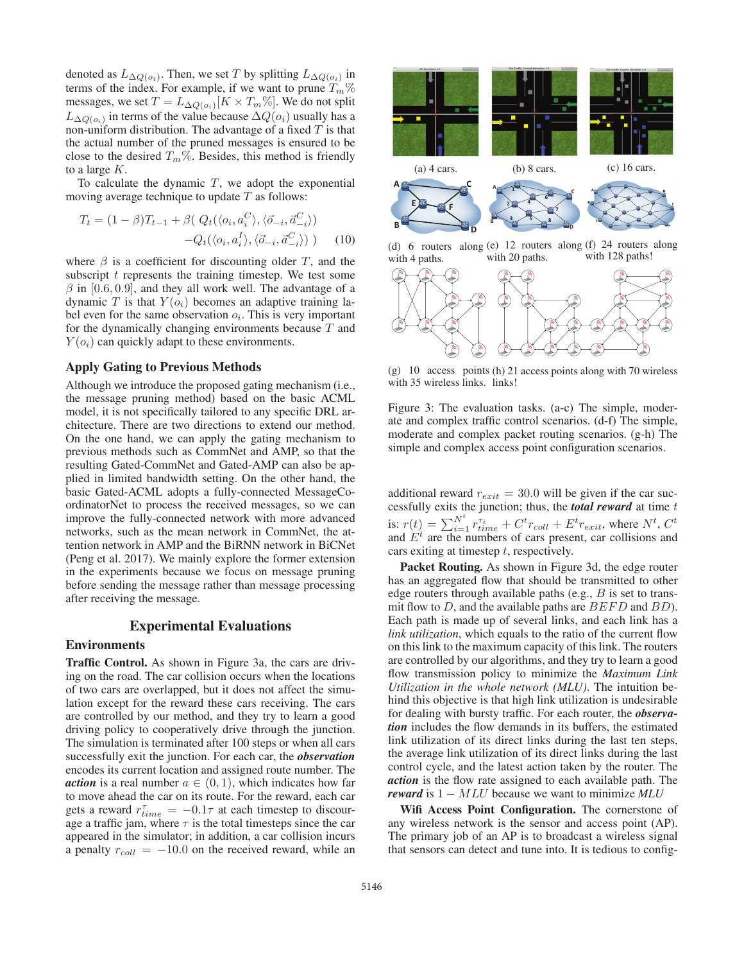denoted as  $L_{\Delta Q(o_i)}$ . Then, we set T by splitting  $L_{\Delta Q(o_i)}$  in terms of the index. For example, if we want to prune  $T_m\%$ messages, we set  $T = L_{\Delta Q(o_i)}[K \times T_m\%]$ . We do not split  $L_{\Delta Q(o_i)}$  in terms of the value because  $\Delta Q(o_i)$  usually has a non-uniform distribution. The advantage of a fixed  $T$  is that the actual number of the pruned messages is ensured to be close to the desired  $T_m\%$ . Besides, this method is friendly to a large  $K$ .

To calculate the dynamic  $T$ , we adopt the exponential moving average technique to update  $T$  as follows:

$$
T_t = (1 - \beta)T_{t-1} + \beta \left( Q_t(\langle o_i, a_i^C \rangle, \langle \vec{o}_{-i}, \vec{a}_{-i}^C \rangle) -Q_t(\langle o_i, a_i^I \rangle, \langle \vec{o}_{-i}, \vec{a}_{-i}^C \rangle) \right)
$$
(10)

where  $\beta$  is a coefficient for discounting older T, and the subscript  $t$  represents the training timestep. We test some  $\beta$  in [0.6, 0.9], and they all work well. The advantage of a dynamic T is that  $Y(o_i)$  becomes an adaptive training label even for the same observation  $o_i$ . This is very important for the dynamically changing environments because  $T$  and  $Y(o_i)$  can quickly adapt to these environments.

#### Apply Gating to Previous Methods

Although we introduce the proposed gating mechanism (i.e., the message pruning method) based on the basic ACML model, it is not specifically tailored to any specific DRL architecture. There are two directions to extend our method. On the one hand, we can apply the gating mechanism to previous methods such as CommNet and AMP, so that the resulting Gated-CommNet and Gated-AMP can also be applied in limited bandwidth setting. On the other hand, the basic Gated-ACML adopts a fully-connected MessageCoordinatorNet to process the received messages, so we can improve the fully-connected network with more advanced networks, such as the mean network in CommNet, the attention network in AMP and the BiRNN network in BiCNet (Peng et al. 2017). We mainly explore the former extension in the experiments because we focus on message pruning before sending the message rather than message processing after receiving the message.

### Experimental Evaluations

#### Environments

Traffic Control. As shown in Figure 3a, the cars are driving on the road. The car collision occurs when the locations of two cars are overlapped, but it does not affect the simulation except for the reward these cars receiving. The cars are controlled by our method, and they try to learn a good driving policy to cooperatively drive through the junction. The simulation is terminated after 100 steps or when all cars successfully exit the junction. For each car, the *observation* encodes its current location and assigned route number. The *action* is a real number  $a \in (0, 1)$ , which indicates how far to move ahead the car on its route. For the reward, each car gets a reward  $r_{time}^T = -0.1\tau$  at each timestep to discour-<br>age a traffic iam where  $\tau$  is the total timesteps since the can age a traffic jam, where  $\tau$  is the total timesteps since the car appeared in the simulator; in addition, a car collision incurs a penalty  $r_{coll} = -10.0$  on the received reward, while an



(d) 6 routers along (e) 12 routers along (f) 24 routers along with 4 paths. with 20 paths. with 128 paths!



(g) 10 access points (h) 21 access points along with 70 wireless with 35 wireless links. links!

Figure 3: The evaluation tasks. (a-c) The simple, moderate and complex traffic control scenarios. (d-f) The simple, moderate and complex packet routing scenarios. (g-h) The simple and complex access point configuration scenarios.

additional reward  $r_{exit} = 30.0$  will be given if the car successfully exits the junction; thus, the *total reward* at time t is:  $r(t) = \sum_{i=1}^{N^t} r_{time}^{\tau_i} + C^t r_{coll} + E^t r_{exit}$ , where  $N^t$ ,  $C^t$  and  $E^t$  are the numbers of cars present car collisions and and  $E^t$  are the numbers of cars present, car collisions and cars exiting at timesten t respectively cars exiting at timestep t, respectively.

Packet Routing. As shown in Figure 3d, the edge router has an aggregated flow that should be transmitted to other edge routers through available paths (e.g.,  $B$  is set to transmit flow to  $D$ , and the available paths are  $BEFD$  and  $BD$ ). Each path is made up of several links, and each link has a *link utilization*, which equals to the ratio of the current flow on this link to the maximum capacity of this link. The routers are controlled by our algorithms, and they try to learn a good flow transmission policy to minimize the *Maximum Link Utilization in the whole network (MLU)*. The intuition behind this objective is that high link utilization is undesirable for dealing with bursty traffic. For each router, the *observation* includes the flow demands in its buffers, the estimated link utilization of its direct links during the last ten steps, the average link utilization of its direct links during the last control cycle, and the latest action taken by the router. The *action* is the flow rate assigned to each available path. The *reward* is 1 <sup>−</sup> MLU because we want to minimize *MLU*

Wifi Access Point Configuration. The cornerstone of any wireless network is the sensor and access point (AP). The primary job of an AP is to broadcast a wireless signal that sensors can detect and tune into. It is tedious to config-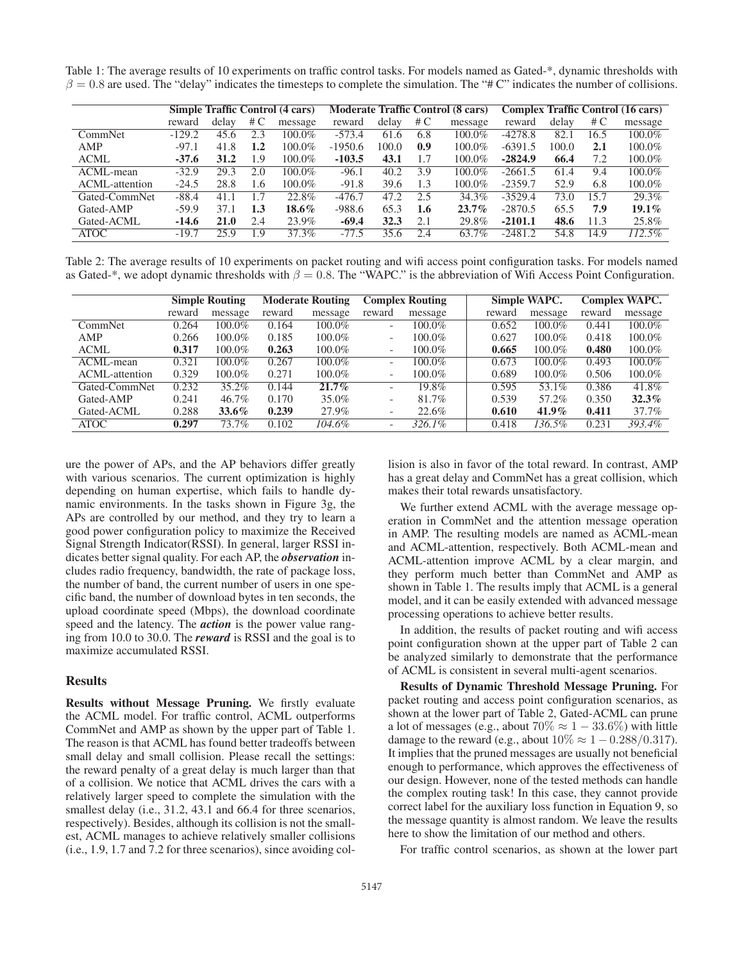Table 1: The average results of 10 experiments on traffic control tasks. For models named as Gated-\*, dynamic thresholds with  $\beta = 0.8$  are used. The "delay" indicates the timesteps to complete the simulation. The "#C" indicates the number of collisions.

|                | <b>Simple Traffic Control (4 cars)</b> |             |     | <b>Moderate Traffic Control (8 cars)</b> |           |       |         | <b>Complex Traffic Control (16 cars)</b> |           |       |       |           |
|----------------|----------------------------------------|-------------|-----|------------------------------------------|-----------|-------|---------|------------------------------------------|-----------|-------|-------|-----------|
|                | reward                                 | delay       | # C | message                                  | reward    | delay | # $C$   | message                                  | reward    | delay | # $C$ | message   |
| CommNet        | $-129.2$                               | 45.6        | 2.3 | 100.0%                                   | $-573.4$  | 61.6  | 6.8     | $100.0\%$                                | $-4278.8$ | 82.1  | 16.5  | 100.0%    |
| AMP            | $-97.1$                                | 41.8        | 1.2 | 100.0%                                   | $-1950.6$ | 100.0 | 0.9     | 100.0%                                   | $-6391.5$ | 100.0 | 2.1   | 100.0%    |
| <b>ACML</b>    | $-37.6$                                | 31.2        | 1.9 | $100.0\%$                                | $-103.5$  | 43.1  | 1.7     | 100.0%                                   | $-2824.9$ | 66.4  | 7.2   | 100.0%    |
| ACML-mean      | $-32.9$                                | 29.3        | 2.0 | $100.0\%$                                | $-96.1$   | 40.2  | 3.9     | $100.0\%$                                | $-2661.5$ | 61.4  | 9.4   | 100.0%    |
| ACML-attention | $-24.5$                                | 28.8        | 1.6 | $100.0\%$                                | $-91.8$   | 39.6  | 1.3     | 100.0%                                   | $-2359.7$ | 52.9  | 6.8   | 100.0%    |
| Gated-CommNet  | $-88.4$                                | 41.1        | 1.7 | 22.8%                                    | $-476.7$  | 47.2  | 2.5     | 34.3%                                    | $-3529.4$ | 73.0  | 15.7  | 29.3%     |
| Gated-AMP      | $-59.9$                                | 37.1        | 1.3 | $18.6\%$                                 | $-988.6$  | 65.3  | $1.6\,$ | $23.7\%$                                 | $-2870.5$ | 65.5  | 7.9   | $19.1\%$  |
| Gated-ACML     | $-14.6$                                | <b>21.0</b> | 2.4 | 23.9%                                    | $-69.4$   | 32.3  | 2.1     | 29.8%                                    | $-2101.1$ | 48.6  | 11.3  | 25.8%     |
| <b>ATOC</b>    | $-19.7$                                | 25.9        | .9  | 37.3%                                    | $-77.5$   | 35.6  | 2.4     | 63.7%                                    | $-2481.2$ | 54.8  | 14.9  | $112.5\%$ |

Table 2: The average results of 10 experiments on packet routing and wifi access point configuration tasks. For models named as Gated-\*, we adopt dynamic thresholds with  $\beta = 0.8$ . The "WAPC." is the abbreviation of Wifi Access Point Configuration.

|                | <b>Simple Routing</b> |           | <b>Moderate Routing</b> |           | <b>Complex Routing</b>   |           | Simple WAPC. |           | <b>Complex WAPC.</b> |           |
|----------------|-----------------------|-----------|-------------------------|-----------|--------------------------|-----------|--------------|-----------|----------------------|-----------|
|                | reward                | message   | reward                  | message   | reward                   | message   | reward       | message   | reward               | message   |
| CommNet        | 0.264                 | 100.0%    | 0.164                   | 100.0%    | $\qquad \qquad$          | 100.0%    | 0.652        | 100.0%    | 0.441                | 100.0%    |
| AMP            | 0.266                 | $100.0\%$ | 0.185                   | $100.0\%$ | $\qquad \qquad$          | $100.0\%$ | 0.627        | $100.0\%$ | 0.418                | $100.0\%$ |
| <b>ACML</b>    | 0.317                 | 100.0%    | 0.263                   | 100.0%    | $\overline{\phantom{a}}$ | 100.0%    | 0.665        | $100.0\%$ | 0.480                | 100.0%    |
| ACML-mean      | 0.321                 | $100.0\%$ | 0.267                   | 100.0%    |                          | $100.0\%$ | 0.673        | $100.0\%$ | 0.493                | $100.0\%$ |
| ACML-attention | 0.329                 | 100.0%    | 0.271                   | $100.0\%$ | $\qquad \qquad$          | $100.0\%$ | 0.689        | $100.0\%$ | 0.506                | 100.0%    |
| Gated-CommNet  | 0.232                 | 35.2%     | 0.144                   | $21.7\%$  |                          | 19.8%     | 0.595        | 53.1%     | 0.386                | 41.8%     |
| Gated-AMP      | 0.241                 | $46.7\%$  | 0.170                   | 35.0%     | $\overline{\phantom{a}}$ | 81.7%     | 0.539        | 57.2%     | 0.350                | $32.3\%$  |
| Gated-ACML     | 0.288                 | 33.6%     | 0.239                   | 27.9%     | $\overline{\phantom{a}}$ | 22.6%     | 0.610        | 41.9%     | 0.411                | 37.7%     |
| <b>ATOC</b>    | 0.297                 | 73.7%     | 0.102                   | 104.6%    | $\qquad \qquad$          | 326.1%    | 0.418        | 136.5%    | 0.231                | 393.4%    |

ure the power of APs, and the AP behaviors differ greatly with various scenarios. The current optimization is highly depending on human expertise, which fails to handle dynamic environments. In the tasks shown in Figure 3g, the APs are controlled by our method, and they try to learn a good power configuration policy to maximize the Received Signal Strength Indicator(RSSI). In general, larger RSSI indicates better signal quality. For each AP, the *observation* includes radio frequency, bandwidth, the rate of package loss, the number of band, the current number of users in one specific band, the number of download bytes in ten seconds, the upload coordinate speed (Mbps), the download coordinate speed and the latency. The *action* is the power value ranging from 10.0 to 30.0. The *reward* is RSSI and the goal is to maximize accumulated RSSI.

## **Results**

Results without Message Pruning. We firstly evaluate the ACML model. For traffic control, ACML outperforms CommNet and AMP as shown by the upper part of Table 1. The reason is that ACML has found better tradeoffs between small delay and small collision. Please recall the settings: the reward penalty of a great delay is much larger than that of a collision. We notice that ACML drives the cars with a relatively larger speed to complete the simulation with the smallest delay (i.e., 31.2, 43.1 and 66.4 for three scenarios, respectively). Besides, although its collision is not the smallest, ACML manages to achieve relatively smaller collisions (i.e., 1.9, 1.7 and 7.2 for three scenarios), since avoiding collision is also in favor of the total reward. In contrast, AMP has a great delay and CommNet has a great collision, which makes their total rewards unsatisfactory.

We further extend ACML with the average message operation in CommNet and the attention message operation in AMP. The resulting models are named as ACML-mean and ACML-attention, respectively. Both ACML-mean and ACML-attention improve ACML by a clear margin, and they perform much better than CommNet and AMP as shown in Table 1. The results imply that ACML is a general model, and it can be easily extended with advanced message processing operations to achieve better results.

In addition, the results of packet routing and wifi access point configuration shown at the upper part of Table 2 can be analyzed similarly to demonstrate that the performance of ACML is consistent in several multi-agent scenarios.

Results of Dynamic Threshold Message Pruning. For packet routing and access point configuration scenarios, as shown at the lower part of Table 2, Gated-ACML can prune a lot of messages (e.g., about  $70\% \approx 1 - 33.6\%$ ) with little damage to the reward (e.g., about  $10\% \approx 1 - 0.288/0.317$ ). It implies that the pruned messages are usually not beneficial enough to performance, which approves the effectiveness of our design. However, none of the tested methods can handle the complex routing task! In this case, they cannot provide correct label for the auxiliary loss function in Equation 9, so the message quantity is almost random. We leave the results here to show the limitation of our method and others.

For traffic control scenarios, as shown at the lower part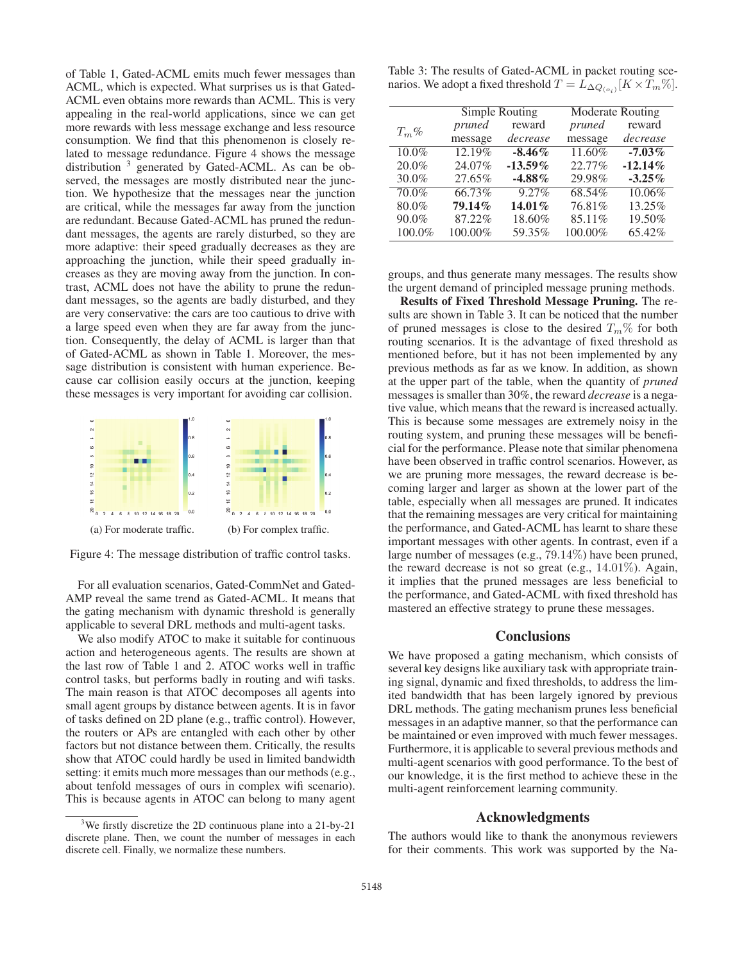of Table 1, Gated-ACML emits much fewer messages than ACML, which is expected. What surprises us is that Gated-ACML even obtains more rewards than ACML. This is very appealing in the real-world applications, since we can get more rewards with less message exchange and less resource consumption. We find that this phenomenon is closely related to message redundance. Figure 4 shows the message distribution <sup>3</sup> generated by Gated-ACML. As can be observed, the messages are mostly distributed near the junction. We hypothesize that the messages near the junction are critical, while the messages far away from the junction are redundant. Because Gated-ACML has pruned the redundant messages, the agents are rarely disturbed, so they are more adaptive: their speed gradually decreases as they are approaching the junction, while their speed gradually increases as they are moving away from the junction. In contrast, ACML does not have the ability to prune the redundant messages, so the agents are badly disturbed, and they are very conservative: the cars are too cautious to drive with a large speed even when they are far away from the junction. Consequently, the delay of ACML is larger than that of Gated-ACML as shown in Table 1. Moreover, the message distribution is consistent with human experience. Because car collision easily occurs at the junction, keeping these messages is very important for avoiding car collision.



Figure 4: The message distribution of traffic control tasks.

For all evaluation scenarios, Gated-CommNet and Gated-AMP reveal the same trend as Gated-ACML. It means that the gating mechanism with dynamic threshold is generally applicable to several DRL methods and multi-agent tasks.

We also modify ATOC to make it suitable for continuous action and heterogeneous agents. The results are shown at the last row of Table 1 and 2. ATOC works well in traffic control tasks, but performs badly in routing and wifi tasks. The main reason is that ATOC decomposes all agents into small agent groups by distance between agents. It is in favor of tasks defined on 2D plane (e.g., traffic control). However, the routers or APs are entangled with each other by other factors but not distance between them. Critically, the results show that ATOC could hardly be used in limited bandwidth setting: it emits much more messages than our methods (e.g., about tenfold messages of ours in complex wifi scenario). This is because agents in ATOC can belong to many agent

Table 3: The results of Gated-ACML in packet routing scenarios. We adopt a fixed threshold  $T = L_{\Delta Q_{(o_i)}}[K \times T_m\%].$ 

|          |         | Simple Routing | <b>Moderate Routing</b> |           |  |  |
|----------|---------|----------------|-------------------------|-----------|--|--|
| $T_m\%$  | pruned  | reward         | pruned                  | reward    |  |  |
|          | message | decrease       | message                 | decrease  |  |  |
| $10.0\%$ | 12.19%  | $-8.46\%$      | 11.60%                  | $-7.03\%$ |  |  |
| 20.0%    | 24.07%  | $-13.59\%$     | 22.77%                  | $-12.14%$ |  |  |
| $30.0\%$ | 27.65%  | $-4.88\%$      | 29.98%                  | $-3.25\%$ |  |  |
| 70.0%    | 66.73%  | 9.27%          | 68.54%                  | 10.06%    |  |  |
| 80.0%    | 79.14%  | 14.01%         | 76.81%                  | 13.25%    |  |  |
| 90.0%    | 87.22%  | 18.60%         | 85.11%                  | 19.50%    |  |  |
| 100.0%   | 100.00% | 59.35%         | 100.00%                 | 65.42%    |  |  |

groups, and thus generate many messages. The results show the urgent demand of principled message pruning methods.

Results of Fixed Threshold Message Pruning. The results are shown in Table 3. It can be noticed that the number of pruned messages is close to the desired  $T_m\%$  for both routing scenarios. It is the advantage of fixed threshold as mentioned before, but it has not been implemented by any previous methods as far as we know. In addition, as shown at the upper part of the table, when the quantity of *pruned* messages is smaller than 30%, the reward *decrease* is a negative value, which means that the reward is increased actually. This is because some messages are extremely noisy in the routing system, and pruning these messages will be beneficial for the performance. Please note that similar phenomena have been observed in traffic control scenarios. However, as we are pruning more messages, the reward decrease is becoming larger and larger as shown at the lower part of the table, especially when all messages are pruned. It indicates that the remaining messages are very critical for maintaining the performance, and Gated-ACML has learnt to share these important messages with other agents. In contrast, even if a large number of messages (e.g., 79.14%) have been pruned, the reward decrease is not so great (e.g., 14.01%). Again, it implies that the pruned messages are less beneficial to the performance, and Gated-ACML with fixed threshold has mastered an effective strategy to prune these messages.

#### **Conclusions**

We have proposed a gating mechanism, which consists of several key designs like auxiliary task with appropriate training signal, dynamic and fixed thresholds, to address the limited bandwidth that has been largely ignored by previous DRL methods. The gating mechanism prunes less beneficial messages in an adaptive manner, so that the performance can be maintained or even improved with much fewer messages. Furthermore, it is applicable to several previous methods and multi-agent scenarios with good performance. To the best of our knowledge, it is the first method to achieve these in the multi-agent reinforcement learning community.

## Acknowledgments

The authors would like to thank the anonymous reviewers for their comments. This work was supported by the Na-

<sup>&</sup>lt;sup>3</sup>We firstly discretize the 2D continuous plane into a 21-by-21 discrete plane. Then, we count the number of messages in each discrete cell. Finally, we normalize these numbers.